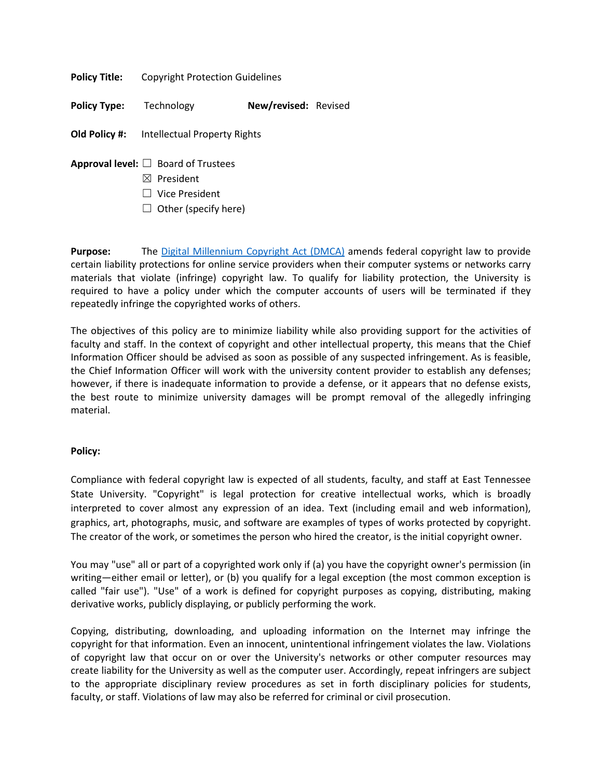**Policy Title:** Copyright Protection Guidelines

**Policy Type:** Technology **New/revised:** Revised

**Old Policy #:** Intellectual Property Rights

- **Approval level:** ☐ Board of Trustees
	- ☒ President
	- ☐ Vice President
	- $\Box$  Other (specify here)

**Purpose:** The [Digital Millennium Copyright Act \(DMCA\)](https://www.copyright.gov/legislation/dmca.pdf) amends federal copyright law to provide certain liability protections for online service providers when their computer systems or networks carry materials that violate (infringe) copyright law. To qualify for liability protection, the University is required to have a policy under which the computer accounts of users will be terminated if they repeatedly infringe the copyrighted works of others.

The objectives of this policy are to minimize liability while also providing support for the activities of faculty and staff. In the context of copyright and other intellectual property, this means that the Chief Information Officer should be advised as soon as possible of any suspected infringement. As is feasible, the Chief Information Officer will work with the university content provider to establish any defenses; however, if there is inadequate information to provide a defense, or it appears that no defense exists, the best route to minimize university damages will be prompt removal of the allegedly infringing material.

### **Policy:**

Compliance with federal copyright law is expected of all students, faculty, and staff at East Tennessee State University. "Copyright" is legal protection for creative intellectual works, which is broadly interpreted to cover almost any expression of an idea. Text (including email and web information), graphics, art, photographs, music, and software are examples of types of works protected by copyright. The creator of the work, or sometimes the person who hired the creator, is the initial copyright owner.

You may "use" all or part of a copyrighted work only if (a) you have the copyright owner's permission (in writing—either email or letter), or (b) you qualify for a legal exception (the most common exception is called "fair use"). "Use" of a work is defined for copyright purposes as copying, distributing, making derivative works, publicly displaying, or publicly performing the work.

Copying, distributing, downloading, and uploading information on the Internet may infringe the copyright for that information. Even an innocent, unintentional infringement violates the law. Violations of copyright law that occur on or over the University's networks or other computer resources may create liability for the University as well as the computer user. Accordingly, repeat infringers are subject to the appropriate disciplinary review procedures as set in forth disciplinary policies for students, faculty, or staff. Violations of law may also be referred for criminal or civil prosecution.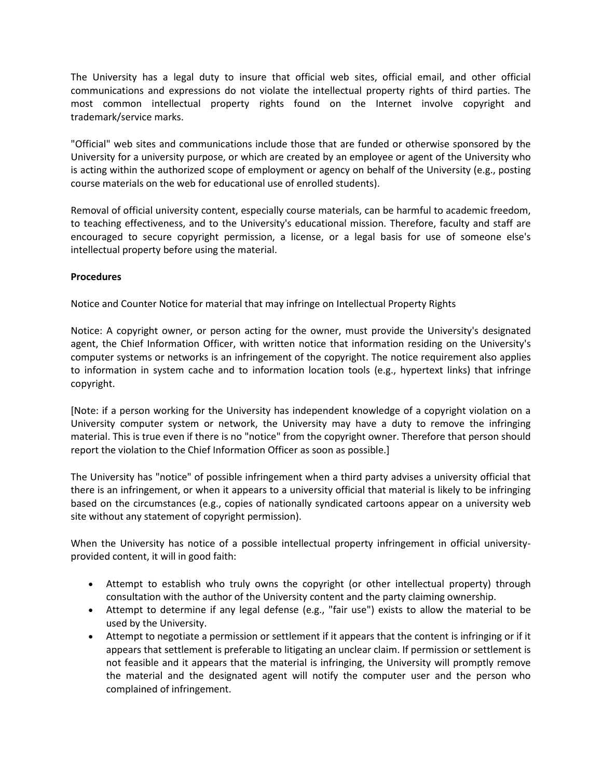The University has a legal duty to insure that official web sites, official email, and other official communications and expressions do not violate the intellectual property rights of third parties. The most common intellectual property rights found on the Internet involve copyright and trademark/service marks.

"Official" web sites and communications include those that are funded or otherwise sponsored by the University for a university purpose, or which are created by an employee or agent of the University who is acting within the authorized scope of employment or agency on behalf of the University (e.g., posting course materials on the web for educational use of enrolled students).

Removal of official university content, especially course materials, can be harmful to academic freedom, to teaching effectiveness, and to the University's educational mission. Therefore, faculty and staff are encouraged to secure copyright permission, a license, or a legal basis for use of someone else's intellectual property before using the material.

# **Procedures**

Notice and Counter Notice for material that may infringe on Intellectual Property Rights

Notice: A copyright owner, or person acting for the owner, must provide the University's designated agent, the Chief Information Officer, with written notice that information residing on the University's computer systems or networks is an infringement of the copyright. The notice requirement also applies to information in system cache and to information location tools (e.g., hypertext links) that infringe copyright.

[Note: if a person working for the University has independent knowledge of a copyright violation on a University computer system or network, the University may have a duty to remove the infringing material. This is true even if there is no "notice" from the copyright owner. Therefore that person should report the violation to the Chief Information Officer as soon as possible.]

The University has "notice" of possible infringement when a third party advises a university official that there is an infringement, or when it appears to a university official that material is likely to be infringing based on the circumstances (e.g., copies of nationally syndicated cartoons appear on a university web site without any statement of copyright permission).

When the University has notice of a possible intellectual property infringement in official universityprovided content, it will in good faith:

- Attempt to establish who truly owns the copyright (or other intellectual property) through consultation with the author of the University content and the party claiming ownership.
- Attempt to determine if any legal defense (e.g., "fair use") exists to allow the material to be used by the University.
- Attempt to negotiate a permission or settlement if it appears that the content is infringing or if it appears that settlement is preferable to litigating an unclear claim. If permission or settlement is not feasible and it appears that the material is infringing, the University will promptly remove the material and the designated agent will notify the computer user and the person who complained of infringement.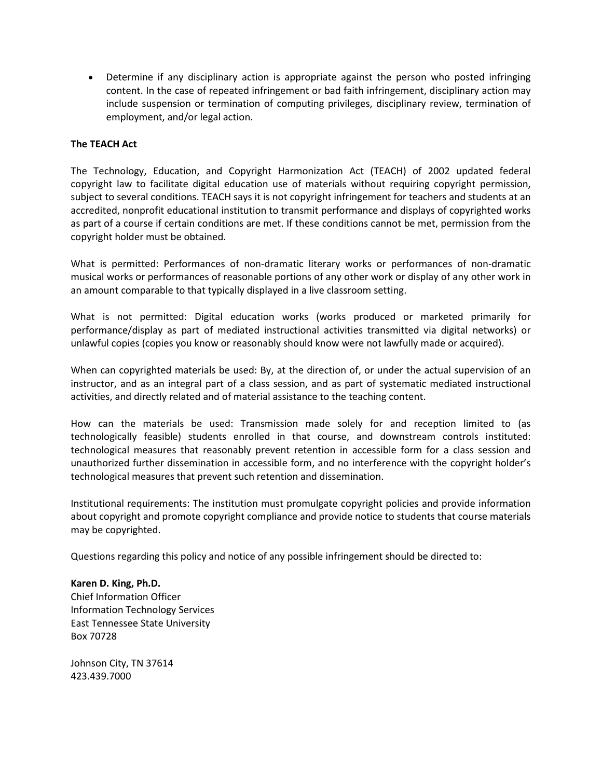• Determine if any disciplinary action is appropriate against the person who posted infringing content. In the case of repeated infringement or bad faith infringement, disciplinary action may include suspension or termination of computing privileges, disciplinary review, termination of employment, and/or legal action.

# **The TEACH Act**

The Technology, Education, and Copyright Harmonization Act (TEACH) of 2002 updated federal copyright law to facilitate digital education use of materials without requiring copyright permission, subject to several conditions. TEACH says it is not copyright infringement for teachers and students at an accredited, nonprofit educational institution to transmit performance and displays of copyrighted works as part of a course if certain conditions are met. If these conditions cannot be met, permission from the copyright holder must be obtained.

What is permitted: Performances of non-dramatic literary works or performances of non-dramatic musical works or performances of reasonable portions of any other work or display of any other work in an amount comparable to that typically displayed in a live classroom setting.

What is not permitted: Digital education works (works produced or marketed primarily for performance/display as part of mediated instructional activities transmitted via digital networks) or unlawful copies (copies you know or reasonably should know were not lawfully made or acquired).

When can copyrighted materials be used: By, at the direction of, or under the actual supervision of an instructor, and as an integral part of a class session, and as part of systematic mediated instructional activities, and directly related and of material assistance to the teaching content.

How can the materials be used: Transmission made solely for and reception limited to (as technologically feasible) students enrolled in that course, and downstream controls instituted: technological measures that reasonably prevent retention in accessible form for a class session and unauthorized further dissemination in accessible form, and no interference with the copyright holder's technological measures that prevent such retention and dissemination.

Institutional requirements: The institution must promulgate copyright policies and provide information about copyright and promote copyright compliance and provide notice to students that course materials may be copyrighted.

Questions regarding this policy and notice of any possible infringement should be directed to:

### **Karen D. King, Ph.D.**

Chief Information Officer Information Technology Services East Tennessee State University Box 70728

Johnson City, TN 37614 423.439.7000